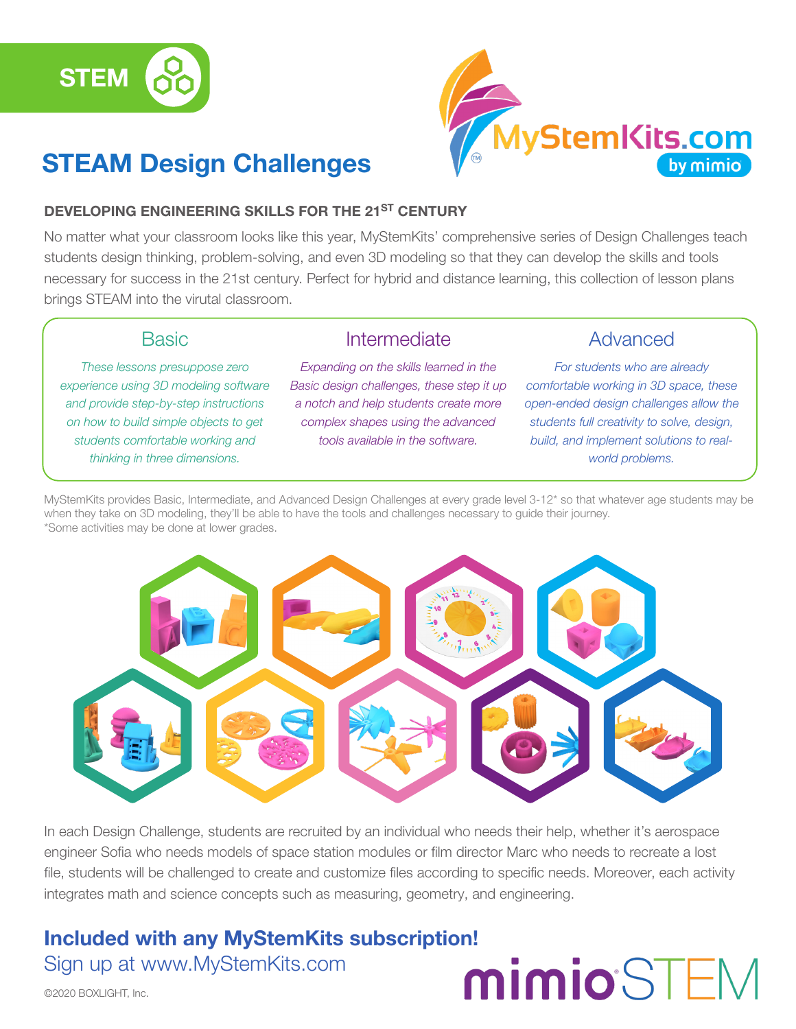

## STEAM Design Challenges



#### DEVELOPING ENGINEERING SKILLS FOR THE 21<sup>ST</sup> CENTURY

No matter what your classroom looks like this year, MyStemKits' comprehensive series of Design Challenges teach students design thinking, problem-solving, and even 3D modeling so that they can develop the skills and tools necessary for success in the 21st century. Perfect for hybrid and distance learning, this collection of lesson plans brings STEAM into the virutal classroom.

Intermediate

#### **Basic**

*These lessons presuppose zero experience using 3D modeling software and provide step-by-step instructions on how to build simple objects to get students comfortable working and thinking in three dimensions.*

*Expanding on the skills learned in the Basic design challenges, these step it up a notch and help students create more complex shapes using the advanced tools available in the software.*

#### Advanced

*For students who are already comfortable working in 3D space, these open-ended design challenges allow the students full creativity to solve, design, build, and implement solutions to realworld problems.*

MyStemKits provides Basic, Intermediate, and Advanced Design Challenges at every grade level 3-12\* so that whatever age students may be when they take on 3D modeling, they'll be able to have the tools and challenges necessary to guide their journey. \*Some activities may be done at lower grades.



In each Design Challenge, students are recruited by an individual who needs their help, whether it's aerospace engineer Sofia who needs models of space station modules or film director Marc who needs to recreate a lost file, students will be challenged to create and customize files according to specific needs. Moreover, each activity integrates math and science concepts such as measuring, geometry, and engineering.

### Included with any MyStemKits subscription! Sign up at www.MyStemKits.com

# mimioSTEM

©2020 BOXLIGHT, Inc.